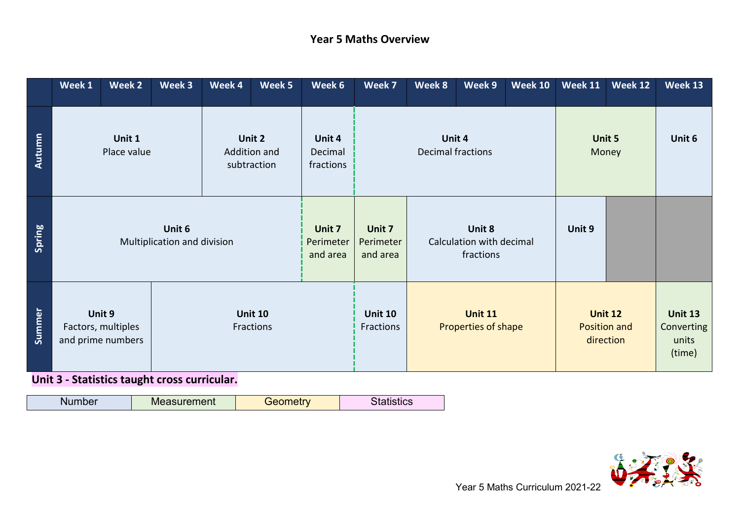## **Year 5 Maths Overview**

|               | Week 1                                                                           | Week 2 | Week 3                         | Week 4                          | Week 5                          | Week 6                                | Week 7                                          | Week 8 | Week 9                                      | <b>Week 10</b>                                  | Week 11 | Week 12 | Week 13 |
|---------------|----------------------------------------------------------------------------------|--------|--------------------------------|---------------------------------|---------------------------------|---------------------------------------|-------------------------------------------------|--------|---------------------------------------------|-------------------------------------------------|---------|---------|---------|
| <b>Autumn</b> | Unit 1<br>Unit 2<br>Place value<br>Addition and<br>subtraction                   |        | Unit 4<br>Decimal<br>fractions | Unit 4<br>Decimal fractions     |                                 | Unit 5<br>Money                       |                                                 | Unit 6 |                                             |                                                 |         |         |         |
| Spring        | Unit 6<br>Multiplication and division                                            |        |                                | Unit 7<br>Perimeter<br>and area | Unit 7<br>Perimeter<br>and area |                                       | Unit 8<br>Calculation with decimal<br>fractions |        | Unit 9                                      |                                                 |         |         |         |
| Summer        | Unit 9<br><b>Unit 10</b><br>Factors, multiples<br>Fractions<br>and prime numbers |        |                                | <b>Unit 10</b><br>Fractions     |                                 | <b>Unit 11</b><br>Properties of shape |                                                 |        | <b>Unit 12</b><br>Position and<br>direction | <b>Unit 13</b><br>Converting<br>units<br>(time) |         |         |         |

**Unit 3 - Statistics taught cross curricular. …………………………………………………………………………………………………………………………………………….**

| <b><i>COMMAND COMMAND</i></b><br>- - -<br>nent<br>w | . | טש |
|-----------------------------------------------------|---|----|
|-----------------------------------------------------|---|----|

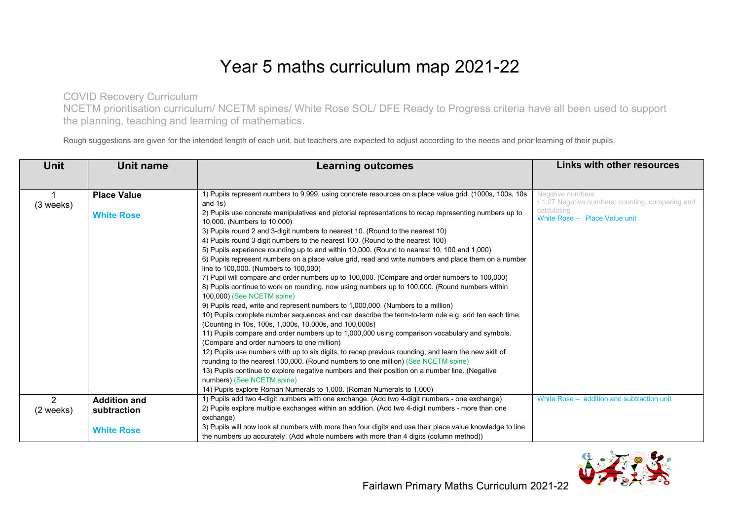## Year 5 maths curriculum map 2021-22

COVID Recovery Curriculum

NCETM prioritisation curriculum/ NCETM spines/ White Rose SOL/ DFE Ready to Progress criteria have all been used to support the planning, teaching and learning of mathematics.

Rough suggestions are given for the intended length of each unit, but teachers are expected to adjust according to the needs and prior learning of their pupils.

| Unit          | <b>Unit name</b>    | <b>Learning outcomes</b>                                                                                                                      | <b>Links with other resources</b>                                    |
|---------------|---------------------|-----------------------------------------------------------------------------------------------------------------------------------------------|----------------------------------------------------------------------|
|               |                     |                                                                                                                                               |                                                                      |
|               | <b>Place Value</b>  | 1) Pupils represent numbers to 9,999, using concrete resources on a place value grid. (1000s, 100s, 10s                                       | Negative numbers<br>• 1.27 Negative numbers: counting, comparing and |
| $(3$ weeks)   |                     | and $1s)$<br>2) Pupils use concrete manipulatives and pictorial representations to recap representing numbers up to                           | calculating                                                          |
|               | <b>White Rose</b>   | 10,000. (Numbers to 10,000)                                                                                                                   | White Rose - Place Value unit                                        |
|               |                     | 3) Pupils round 2 and 3-digit numbers to nearest 10. (Round to the nearest 10)                                                                |                                                                      |
|               |                     | 4) Pupils round 3 digit numbers to the nearest 100. (Round to the nearest 100)                                                                |                                                                      |
|               |                     | 5) Pupils experience rounding up to and within 10,000. (Round to nearest 10, 100 and 1,000)                                                   |                                                                      |
|               |                     | 6) Pupils represent numbers on a place value grid, read and write numbers and place them on a number<br>line to 100,000. (Numbers to 100,000) |                                                                      |
|               |                     | 7) Pupil will compare and order numbers up to 100,000. (Compare and order numbers to 100,000)                                                 |                                                                      |
|               |                     | 8) Pupils continue to work on rounding, now using numbers up to 100,000. (Round numbers within<br>100,000) (See NCETM spine)                  |                                                                      |
|               |                     | 9) Pupils read, write and represent numbers to 1,000,000. (Numbers to a million)                                                              |                                                                      |
|               |                     | 10) Pupils complete number sequences and can describe the term-to-term rule e.g. add ten each time.                                           |                                                                      |
|               |                     | (Counting in 10s, 100s, 1,000s, 10,000s, and 100,000s)                                                                                        |                                                                      |
|               |                     | 11) Pupils compare and order numbers up to 1,000,000 using comparison vocabulary and symbols.<br>(Compare and order numbers to one million)   |                                                                      |
|               |                     | 12) Pupils use numbers with up to six digits, to recap previous rounding, and learn the new skill of                                          |                                                                      |
|               |                     | rounding to the nearest 100,000. (Round numbers to one million) (See NCETM spine)                                                             |                                                                      |
|               |                     | 13) Pupils continue to explore negative numbers and their position on a number line. (Negative                                                |                                                                      |
|               |                     | numbers) (See NCETM spine)                                                                                                                    |                                                                      |
|               |                     | 14) Pupils explore Roman Numerals to 1,000. (Roman Numerals to 1,000)                                                                         |                                                                      |
| $\mathcal{P}$ | <b>Addition and</b> | 1) Pupils add two 4-digit numbers with one exchange. (Add two 4-digit numbers - one exchange)                                                 | White Rose - addition and subtraction unit                           |
| (2 weeks)     | subtraction         | 2) Pupils explore multiple exchanges within an addition. (Add two 4-digit numbers - more than one                                             |                                                                      |
|               |                     | exchange)                                                                                                                                     |                                                                      |
|               | <b>White Rose</b>   | 3) Pupils will now look at numbers with more than four digits and use their place value knowledge to line                                     |                                                                      |
|               |                     | the numbers up accurately. (Add whole numbers with more than 4 digits (column method))                                                        |                                                                      |

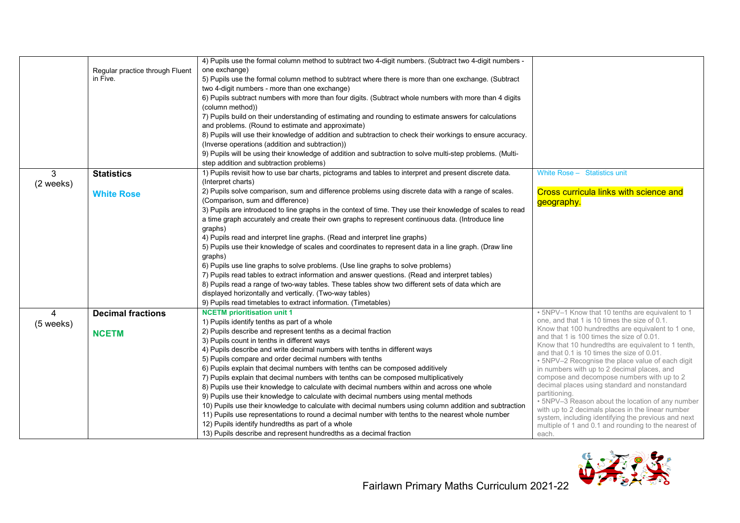|                |                                 | 4) Pupils use the formal column method to subtract two 4-digit numbers. (Subtract two 4-digit numbers -    |                                                                                                       |
|----------------|---------------------------------|------------------------------------------------------------------------------------------------------------|-------------------------------------------------------------------------------------------------------|
|                | Regular practice through Fluent | one exchange)                                                                                              |                                                                                                       |
|                | in Five.                        | 5) Pupils use the formal column method to subtract where there is more than one exchange. (Subtract        |                                                                                                       |
|                |                                 | two 4-digit numbers - more than one exchange)                                                              |                                                                                                       |
|                |                                 | 6) Pupils subtract numbers with more than four digits. (Subtract whole numbers with more than 4 digits     |                                                                                                       |
|                |                                 | (column method))                                                                                           |                                                                                                       |
|                |                                 | 7) Pupils build on their understanding of estimating and rounding to estimate answers for calculations     |                                                                                                       |
|                |                                 | and problems. (Round to estimate and approximate)                                                          |                                                                                                       |
|                |                                 | 8) Pupils will use their knowledge of addition and subtraction to check their workings to ensure accuracy. |                                                                                                       |
|                |                                 | (Inverse operations (addition and subtraction))                                                            |                                                                                                       |
|                |                                 | 9) Pupils will be using their knowledge of addition and subtraction to solve multi-step problems. (Multi-  |                                                                                                       |
|                |                                 | step addition and subtraction problems)                                                                    |                                                                                                       |
| 3              | <b>Statistics</b>               | 1) Pupils revisit how to use bar charts, pictograms and tables to interpret and present discrete data.     | White Rose - Statistics unit                                                                          |
| (2 weeks)      |                                 | (Interpret charts)                                                                                         |                                                                                                       |
|                | <b>White Rose</b>               | 2) Pupils solve comparison, sum and difference problems using discrete data with a range of scales.        | <b>Cross curricula links with science and</b>                                                         |
|                |                                 | (Comparison, sum and difference)                                                                           | geography.                                                                                            |
|                |                                 | 3) Pupils are introduced to line graphs in the context of time. They use their knowledge of scales to read |                                                                                                       |
|                |                                 | a time graph accurately and create their own graphs to represent continuous data. (Introduce line          |                                                                                                       |
|                |                                 | graphs)                                                                                                    |                                                                                                       |
|                |                                 | 4) Pupils read and interpret line graphs. (Read and interpret line graphs)                                 |                                                                                                       |
|                |                                 | 5) Pupils use their knowledge of scales and coordinates to represent data in a line graph. (Draw line      |                                                                                                       |
|                |                                 | graphs)                                                                                                    |                                                                                                       |
|                |                                 | 6) Pupils use line graphs to solve problems. (Use line graphs to solve problems)                           |                                                                                                       |
|                |                                 | 7) Pupils read tables to extract information and answer questions. (Read and interpret tables)             |                                                                                                       |
|                |                                 | 8) Pupils read a range of two-way tables. These tables show two different sets of data which are           |                                                                                                       |
|                |                                 | displayed horizontally and vertically. (Two-way tables)                                                    |                                                                                                       |
|                |                                 | 9) Pupils read timetables to extract information. (Timetables)                                             |                                                                                                       |
| $\overline{4}$ | <b>Decimal fractions</b>        | <b>NCETM</b> prioritisation unit 1                                                                         | . 5NPV-1 Know that 10 tenths are equivalent to 1                                                      |
| (5 weeks)      |                                 | 1) Pupils identify tenths as part of a whole                                                               | one, and that 1 is 10 times the size of 0.1.                                                          |
|                | <b>NCETM</b>                    | 2) Pupils describe and represent tenths as a decimal fraction                                              | Know that 100 hundredths are equivalent to 1 one,                                                     |
|                |                                 | 3) Pupils count in tenths in different ways                                                                | and that 1 is 100 times the size of 0.01.                                                             |
|                |                                 | 4) Pupils describe and write decimal numbers with tenths in different ways                                 | Know that 10 hundredths are equivalent to 1 tenth,<br>and that 0.1 is 10 times the size of 0.01.      |
|                |                                 | 5) Pupils compare and order decimal numbers with tenths                                                    | · 5NPV-2 Recognise the place value of each digit                                                      |
|                |                                 | 6) Pupils explain that decimal numbers with tenths can be composed additively                              | in numbers with up to 2 decimal places, and                                                           |
|                |                                 | 7) Pupils explain that decimal numbers with tenths can be composed multiplicatively                        | compose and decompose numbers with up to 2                                                            |
|                |                                 | 8) Pupils use their knowledge to calculate with decimal numbers within and across one whole                | decimal places using standard and nonstandard                                                         |
|                |                                 | 9) Pupils use their knowledge to calculate with decimal numbers using mental methods                       | partitioning.                                                                                         |
|                |                                 | 10) Pupils use their knowledge to calculate with decimal numbers using column addition and subtraction     | . 5NPV-3 Reason about the location of any number<br>with up to 2 decimals places in the linear number |
|                |                                 | 11) Pupils use representations to round a decimal number with tenths to the nearest whole number           | system, including identifying the previous and next                                                   |
|                |                                 | 12) Pupils identify hundredths as part of a whole                                                          | multiple of 1 and 0.1 and rounding to the nearest of                                                  |
|                |                                 | 13) Pupils describe and represent hundredths as a decimal fraction                                         | each.                                                                                                 |

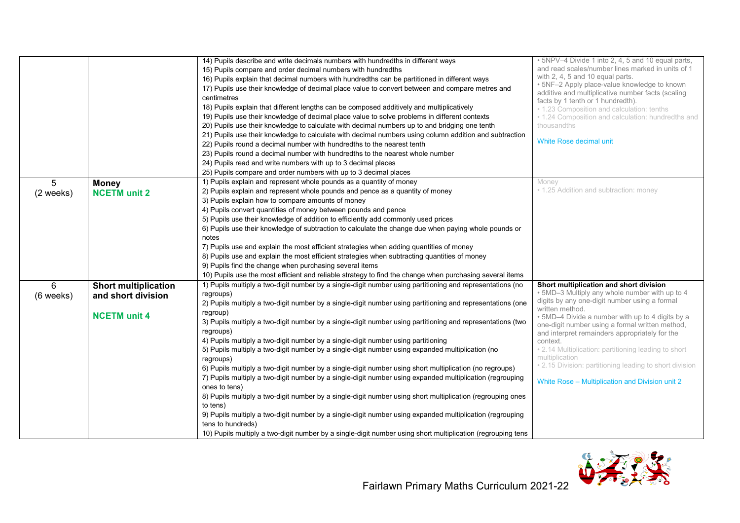|           |                             | 14) Pupils describe and write decimals numbers with hundredths in different ways                                              | • 5NPV-4 Divide 1 into 2, 4, 5 and 10 equal parts,                               |
|-----------|-----------------------------|-------------------------------------------------------------------------------------------------------------------------------|----------------------------------------------------------------------------------|
|           |                             | 15) Pupils compare and order decimal numbers with hundredths                                                                  | and read scales/number lines marked in units of 1                                |
|           |                             | 16) Pupils explain that decimal numbers with hundredths can be partitioned in different ways                                  | with 2, 4, 5 and 10 equal parts.<br>. 5NF-2 Apply place-value knowledge to known |
|           |                             | 17) Pupils use their knowledge of decimal place value to convert between and compare metres and                               | additive and multiplicative number facts (scaling                                |
|           |                             | centimetres                                                                                                                   | facts by 1 tenth or 1 hundredth).                                                |
|           |                             | 18) Pupils explain that different lengths can be composed additively and multiplicatively                                     | • 1.23 Composition and calculation: tenths                                       |
|           |                             | 19) Pupils use their knowledge of decimal place value to solve problems in different contexts                                 | • 1.24 Composition and calculation: hundredths and                               |
|           |                             | 20) Pupils use their knowledge to calculate with decimal numbers up to and bridging one tenth                                 | thousandths                                                                      |
|           |                             | 21) Pupils use their knowledge to calculate with decimal numbers using column addition and subtraction                        |                                                                                  |
|           |                             | 22) Pupils round a decimal number with hundredths to the nearest tenth                                                        | White Rose decimal unit                                                          |
|           |                             | 23) Pupils round a decimal number with hundredths to the nearest whole number                                                 |                                                                                  |
|           |                             | 24) Pupils read and write numbers with up to 3 decimal places                                                                 |                                                                                  |
|           |                             | 25) Pupils compare and order numbers with up to 3 decimal places                                                              |                                                                                  |
| 5         | <b>Money</b>                | 1) Pupils explain and represent whole pounds as a quantity of money                                                           | Money                                                                            |
| (2 weeks) | <b>NCETM unit 2</b>         | 2) Pupils explain and represent whole pounds and pence as a quantity of money                                                 | • 1.25 Addition and subtraction: money                                           |
|           |                             | 3) Pupils explain how to compare amounts of money                                                                             |                                                                                  |
|           |                             | 4) Pupils convert quantities of money between pounds and pence                                                                |                                                                                  |
|           |                             | 5) Pupils use their knowledge of addition to efficiently add commonly used prices                                             |                                                                                  |
|           |                             | 6) Pupils use their knowledge of subtraction to calculate the change due when paying whole pounds or                          |                                                                                  |
|           |                             | notes                                                                                                                         |                                                                                  |
|           |                             | 7) Pupils use and explain the most efficient strategies when adding quantities of money                                       |                                                                                  |
|           |                             | 8) Pupils use and explain the most efficient strategies when subtracting quantities of money                                  |                                                                                  |
|           |                             | 9) Pupils find the change when purchasing several items                                                                       |                                                                                  |
|           |                             | 10) Pupils use the most efficient and reliable strategy to find the change when purchasing several items                      |                                                                                  |
| 6         | <b>Short multiplication</b> | 1) Pupils multiply a two-digit number by a single-digit number using partitioning and representations (no                     | Short multiplication and short division                                          |
| (6 weeks) | and short division          | regroups)                                                                                                                     | . 5MD-3 Multiply any whole number with up to 4                                   |
|           |                             | 2) Pupils multiply a two-digit number by a single-digit number using partitioning and representations (one                    | digits by any one-digit number using a formal                                    |
|           |                             | regroup)                                                                                                                      | written method.                                                                  |
|           | <b>NCETM unit 4</b>         | 3) Pupils multiply a two-digit number by a single-digit number using partitioning and representations (two                    | • 5MD-4 Divide a number with up to 4 digits by a                                 |
|           |                             | regroups)                                                                                                                     | one-digit number using a formal written method,                                  |
|           |                             | 4) Pupils multiply a two-digit number by a single-digit number using partitioning                                             | and interpret remainders appropriately for the<br>context.                       |
|           |                             | 5) Pupils multiply a two-digit number by a single-digit number using expanded multiplication (no                              | . 2.14 Multiplication: partitioning leading to short                             |
|           |                             | regroups)                                                                                                                     | multiplication                                                                   |
|           |                             | 6) Pupils multiply a two-digit number by a single-digit number using short multiplication (no regroups)                       | . 2.15 Division: partitioning leading to short division                          |
|           |                             | 7) Pupils multiply a two-digit number by a single-digit number using expanded multiplication (regrouping                      |                                                                                  |
|           |                             | ones to tens)                                                                                                                 | White Rose - Multiplication and Division unit 2                                  |
|           |                             | 8) Pupils multiply a two-digit number by a single-digit number using short multiplication (regrouping ones                    |                                                                                  |
|           |                             | to tens)                                                                                                                      |                                                                                  |
|           |                             | 9) Pupils multiply a two-digit number by a single-digit number using expanded multiplication (regrouping<br>tens to hundreds) |                                                                                  |
|           |                             | 10) Pupils multiply a two-digit number by a single-digit number using short multiplication (regrouping tens                   |                                                                                  |

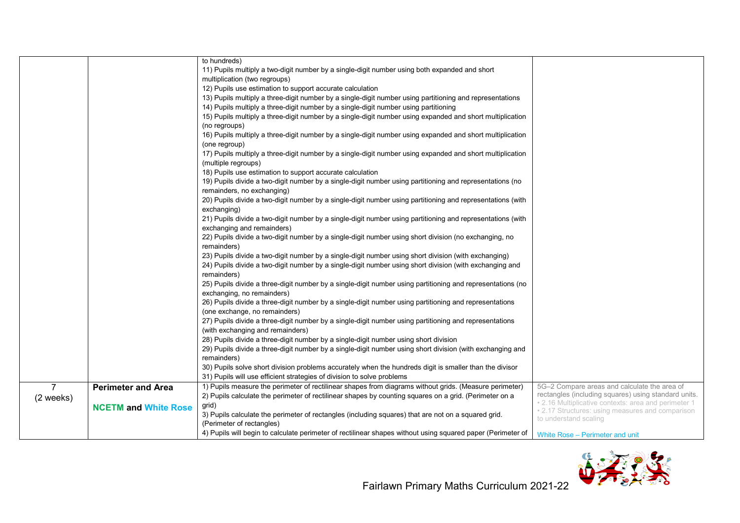|                |                             | to hundreds)                                                                                                |                                                                                                          |
|----------------|-----------------------------|-------------------------------------------------------------------------------------------------------------|----------------------------------------------------------------------------------------------------------|
|                |                             | 11) Pupils multiply a two-digit number by a single-digit number using both expanded and short               |                                                                                                          |
|                |                             | multiplication (two regroups)                                                                               |                                                                                                          |
|                |                             |                                                                                                             |                                                                                                          |
|                |                             | 12) Pupils use estimation to support accurate calculation                                                   |                                                                                                          |
|                |                             | 13) Pupils multiply a three-digit number by a single-digit number using partitioning and representations    |                                                                                                          |
|                |                             | 14) Pupils multiply a three-digit number by a single-digit number using partitioning                        |                                                                                                          |
|                |                             | 15) Pupils multiply a three-digit number by a single-digit number using expanded and short multiplication   |                                                                                                          |
|                |                             | (no regroups)                                                                                               |                                                                                                          |
|                |                             | 16) Pupils multiply a three-digit number by a single-digit number using expanded and short multiplication   |                                                                                                          |
|                |                             | (one regroup)                                                                                               |                                                                                                          |
|                |                             | 17) Pupils multiply a three-digit number by a single-digit number using expanded and short multiplication   |                                                                                                          |
|                |                             | (multiple regroups)                                                                                         |                                                                                                          |
|                |                             | 18) Pupils use estimation to support accurate calculation                                                   |                                                                                                          |
|                |                             | 19) Pupils divide a two-digit number by a single-digit number using partitioning and representations (no    |                                                                                                          |
|                |                             | remainders, no exchanging)                                                                                  |                                                                                                          |
|                |                             | 20) Pupils divide a two-digit number by a single-digit number using partitioning and representations (with  |                                                                                                          |
|                |                             | exchanging)                                                                                                 |                                                                                                          |
|                |                             | 21) Pupils divide a two-digit number by a single-digit number using partitioning and representations (with  |                                                                                                          |
|                |                             | exchanging and remainders)                                                                                  |                                                                                                          |
|                |                             | 22) Pupils divide a two-digit number by a single-digit number using short division (no exchanging, no       |                                                                                                          |
|                |                             | remainders)                                                                                                 |                                                                                                          |
|                |                             | 23) Pupils divide a two-digit number by a single-digit number using short division (with exchanging)        |                                                                                                          |
|                |                             | 24) Pupils divide a two-digit number by a single-digit number using short division (with exchanging and     |                                                                                                          |
|                |                             | remainders)                                                                                                 |                                                                                                          |
|                |                             | 25) Pupils divide a three-digit number by a single-digit number using partitioning and representations (no  |                                                                                                          |
|                |                             |                                                                                                             |                                                                                                          |
|                |                             | exchanging, no remainders)                                                                                  |                                                                                                          |
|                |                             | 26) Pupils divide a three-digit number by a single-digit number using partitioning and representations      |                                                                                                          |
|                |                             | (one exchange, no remainders)                                                                               |                                                                                                          |
|                |                             | 27) Pupils divide a three-digit number by a single-digit number using partitioning and representations      |                                                                                                          |
|                |                             | (with exchanging and remainders)                                                                            |                                                                                                          |
|                |                             | 28) Pupils divide a three-digit number by a single-digit number using short division                        |                                                                                                          |
|                |                             | 29) Pupils divide a three-digit number by a single-digit number using short division (with exchanging and   |                                                                                                          |
|                |                             | remainders)                                                                                                 |                                                                                                          |
|                |                             | 30) Pupils solve short division problems accurately when the hundreds digit is smaller than the divisor     |                                                                                                          |
|                |                             | 31) Pupils will use efficient strategies of division to solve problems                                      |                                                                                                          |
| $\overline{7}$ | <b>Perimeter and Area</b>   | 1) Pupils measure the perimeter of rectilinear shapes from diagrams without grids. (Measure perimeter)      | 5G-2 Compare areas and calculate the area of                                                             |
| (2 weeks)      |                             | 2) Pupils calculate the perimeter of rectilinear shapes by counting squares on a grid. (Perimeter on a      | rectangles (including squares) using standard units.                                                     |
|                | <b>NCETM and White Rose</b> | grid)                                                                                                       | • 2.16 Multiplicative contexts: area and perimeter 1<br>• 2.17 Structures: using measures and comparison |
|                |                             | 3) Pupils calculate the perimeter of rectangles (including squares) that are not on a squared grid.         | to understand scaling                                                                                    |
|                |                             | (Perimeter of rectangles)                                                                                   |                                                                                                          |
|                |                             | 4) Pupils will begin to calculate perimeter of rectilinear shapes without using squared paper (Perimeter of | White Rose - Perimeter and unit                                                                          |

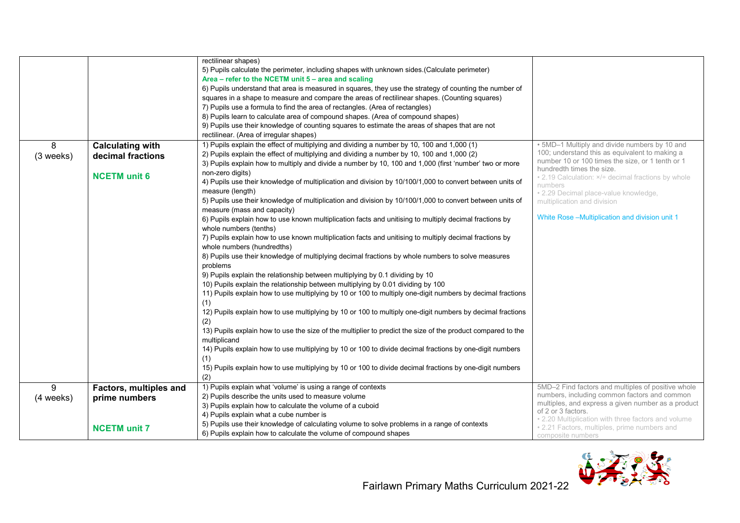|                |                                                                     | rectilinear shapes)<br>5) Pupils calculate the perimeter, including shapes with unknown sides (Calculate perimeter)<br>Area - refer to the NCETM unit 5 - area and scaling<br>6) Pupils understand that area is measured in squares, they use the strategy of counting the number of<br>squares in a shape to measure and compare the areas of rectilinear shapes. (Counting squares)<br>7) Pupils use a formula to find the area of rectangles. (Area of rectangles)<br>8) Pupils learn to calculate area of compound shapes. (Area of compound shapes)<br>9) Pupils use their knowledge of counting squares to estimate the areas of shapes that are not<br>rectilinear. (Area of irregular shapes)                                                                                                                                                                                                                                                                                                                                                                                                                                                                                                                                                                                                                                                                                                                                                                                                                                                                                                                                                      |                                                                                                                                                                                                                                                                                                                                                                            |
|----------------|---------------------------------------------------------------------|------------------------------------------------------------------------------------------------------------------------------------------------------------------------------------------------------------------------------------------------------------------------------------------------------------------------------------------------------------------------------------------------------------------------------------------------------------------------------------------------------------------------------------------------------------------------------------------------------------------------------------------------------------------------------------------------------------------------------------------------------------------------------------------------------------------------------------------------------------------------------------------------------------------------------------------------------------------------------------------------------------------------------------------------------------------------------------------------------------------------------------------------------------------------------------------------------------------------------------------------------------------------------------------------------------------------------------------------------------------------------------------------------------------------------------------------------------------------------------------------------------------------------------------------------------------------------------------------------------------------------------------------------------|----------------------------------------------------------------------------------------------------------------------------------------------------------------------------------------------------------------------------------------------------------------------------------------------------------------------------------------------------------------------------|
| 8<br>(3 weeks) | <b>Calculating with</b><br>decimal fractions<br><b>NCETM</b> unit 6 | 1) Pupils explain the effect of multiplying and dividing a number by 10, 100 and 1,000 (1)<br>2) Pupils explain the effect of multiplying and dividing a number by 10, 100 and 1,000 (2)<br>3) Pupils explain how to multiply and divide a number by 10, 100 and 1,000 (first 'number' two or more<br>non-zero digits)<br>4) Pupils use their knowledge of multiplication and division by 10/100/1,000 to convert between units of<br>measure (length)<br>5) Pupils use their knowledge of multiplication and division by 10/100/1,000 to convert between units of<br>measure (mass and capacity)<br>6) Pupils explain how to use known multiplication facts and unitising to multiply decimal fractions by<br>whole numbers (tenths)<br>7) Pupils explain how to use known multiplication facts and unitising to multiply decimal fractions by<br>whole numbers (hundredths)<br>8) Pupils use their knowledge of multiplying decimal fractions by whole numbers to solve measures<br>problems<br>9) Pupils explain the relationship between multiplying by 0.1 dividing by 10<br>10) Pupils explain the relationship between multiplying by 0.01 dividing by 100<br>11) Pupils explain how to use multiplying by 10 or 100 to multiply one-digit numbers by decimal fractions<br>(1)<br>12) Pupils explain how to use multiplying by 10 or 100 to multiply one-digit numbers by decimal fractions<br>(2)<br>13) Pupils explain how to use the size of the multiplier to predict the size of the product compared to the<br>multiplicand<br>14) Pupils explain how to use multiplying by 10 or 100 to divide decimal fractions by one-digit numbers<br>(1) | . 5MD-1 Multiply and divide numbers by 10 and<br>100; understand this as equivalent to making a<br>number 10 or 100 times the size, or 1 tenth or 1<br>hundredth times the size.<br>• 2.19 Calculation: x/÷ decimal fractions by whole<br>numbers<br>· 2.29 Decimal place-value knowledge,<br>multiplication and division<br>White Rose-Multiplication and division unit 1 |
| 9              | Factors, multiples and                                              | 15) Pupils explain how to use multiplying by 10 or 100 to divide decimal fractions by one-digit numbers<br>(2)<br>1) Pupils explain what 'volume' is using a range of contexts                                                                                                                                                                                                                                                                                                                                                                                                                                                                                                                                                                                                                                                                                                                                                                                                                                                                                                                                                                                                                                                                                                                                                                                                                                                                                                                                                                                                                                                                             | 5MD-2 Find factors and multiples of positive whole<br>numbers, including common factors and common                                                                                                                                                                                                                                                                         |
| (4 weeks)      | prime numbers<br><b>NCETM</b> unit 7                                | 2) Pupils describe the units used to measure volume<br>3) Pupils explain how to calculate the volume of a cuboid<br>4) Pupils explain what a cube number is<br>5) Pupils use their knowledge of calculating volume to solve problems in a range of contexts<br>6) Pupils explain how to calculate the volume of compound shapes                                                                                                                                                                                                                                                                                                                                                                                                                                                                                                                                                                                                                                                                                                                                                                                                                                                                                                                                                                                                                                                                                                                                                                                                                                                                                                                            | multiples, and express a given number as a product<br>of 2 or 3 factors.<br>. 2.20 Multiplication with three factors and volume<br>• 2.21 Factors, multiples, prime numbers and<br>composite numbers                                                                                                                                                                       |

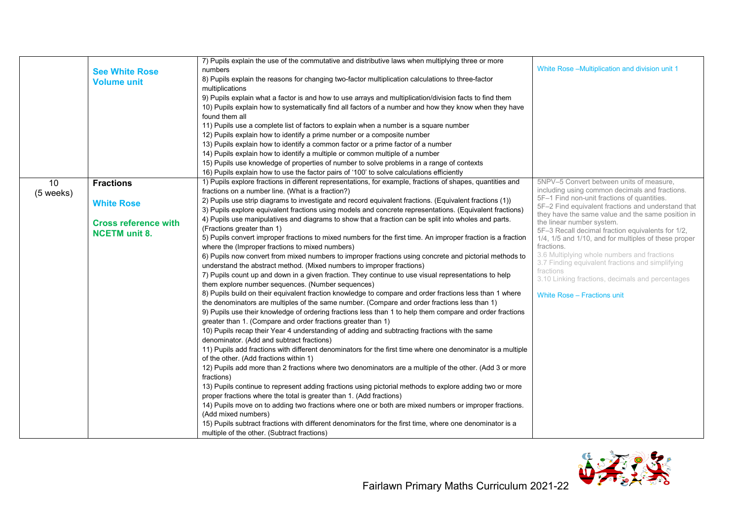|           |                             | 7) Pupils explain the use of the commutative and distributive laws when multiplying three or more            |                                                                    |
|-----------|-----------------------------|--------------------------------------------------------------------------------------------------------------|--------------------------------------------------------------------|
|           |                             | numbers                                                                                                      | White Rose-Multiplication and division unit 1                      |
|           | <b>See White Rose</b>       |                                                                                                              |                                                                    |
|           | <b>Volume unit</b>          | 8) Pupils explain the reasons for changing two-factor multiplication calculations to three-factor            |                                                                    |
|           |                             | multiplications                                                                                              |                                                                    |
|           |                             | 9) Pupils explain what a factor is and how to use arrays and multiplication/division facts to find them      |                                                                    |
|           |                             | 10) Pupils explain how to systematically find all factors of a number and how they know when they have       |                                                                    |
|           |                             | found them all                                                                                               |                                                                    |
|           |                             | 11) Pupils use a complete list of factors to explain when a number is a square number                        |                                                                    |
|           |                             | 12) Pupils explain how to identify a prime number or a composite number                                      |                                                                    |
|           |                             | 13) Pupils explain how to identify a common factor or a prime factor of a number                             |                                                                    |
|           |                             | 14) Pupils explain how to identify a multiple or common multiple of a number                                 |                                                                    |
|           |                             | 15) Pupils use knowledge of properties of number to solve problems in a range of contexts                    |                                                                    |
|           |                             | 16) Pupils explain how to use the factor pairs of '100' to solve calculations efficiently                    |                                                                    |
| 10        | <b>Fractions</b>            | 1) Pupils explore fractions in different representations, for example, fractions of shapes, quantities and   | 5NPV-5 Convert between units of measure,                           |
| (5 weeks) |                             | fractions on a number line. (What is a fraction?)                                                            | including using common decimals and fractions.                     |
|           |                             | 2) Pupils use strip diagrams to investigate and record equivalent fractions. (Equivalent fractions (1))      | 5F-1 Find non-unit fractions of quantities.                        |
|           | <b>White Rose</b>           | 3) Pupils explore equivalent fractions using models and concrete representations. (Equivalent fractions)     | 5F-2 Find equivalent fractions and understand that                 |
|           |                             | 4) Pupils use manipulatives and diagrams to show that a fraction can be split into wholes and parts.         | they have the same value and the same position in                  |
|           | <b>Cross reference with</b> | (Fractions greater than 1)                                                                                   | the linear number system.                                          |
|           | <b>NCETM</b> unit 8.        |                                                                                                              | 5F-3 Recall decimal fraction equivalents for 1/2,                  |
|           |                             | 5) Pupils convert improper fractions to mixed numbers for the first time. An improper fraction is a fraction | 1/4, 1/5 and 1/10, and for multiples of these proper<br>fractions. |
|           |                             | where the (Improper fractions to mixed numbers)                                                              | 3.6 Multiplying whole numbers and fractions                        |
|           |                             | 6) Pupils now convert from mixed numbers to improper fractions using concrete and pictorial methods to       | 3.7 Finding equivalent fractions and simplifying                   |
|           |                             | understand the abstract method. (Mixed numbers to improper fractions)                                        | fractions                                                          |
|           |                             | 7) Pupils count up and down in a given fraction. They continue to use visual representations to help         | 3.10 Linking fractions, decimals and percentages                   |
|           |                             | them explore number sequences. (Number sequences)                                                            |                                                                    |
|           |                             | 8) Pupils build on their equivalent fraction knowledge to compare and order fractions less than 1 where      | White Rose - Fractions unit                                        |
|           |                             | the denominators are multiples of the same number. (Compare and order fractions less than 1)                 |                                                                    |
|           |                             | 9) Pupils use their knowledge of ordering fractions less than 1 to help them compare and order fractions     |                                                                    |
|           |                             | greater than 1. (Compare and order fractions greater than 1)                                                 |                                                                    |
|           |                             | 10) Pupils recap their Year 4 understanding of adding and subtracting fractions with the same                |                                                                    |
|           |                             | denominator. (Add and subtract fractions)                                                                    |                                                                    |
|           |                             | 11) Pupils add fractions with different denominators for the first time where one denominator is a multiple  |                                                                    |
|           |                             | of the other. (Add fractions within 1)                                                                       |                                                                    |
|           |                             | 12) Pupils add more than 2 fractions where two denominators are a multiple of the other. (Add 3 or more      |                                                                    |
|           |                             | fractions)                                                                                                   |                                                                    |
|           |                             | 13) Pupils continue to represent adding fractions using pictorial methods to explore adding two or more      |                                                                    |
|           |                             | proper fractions where the total is greater than 1. (Add fractions)                                          |                                                                    |
|           |                             | 14) Pupils move on to adding two fractions where one or both are mixed numbers or improper fractions.        |                                                                    |
|           |                             | (Add mixed numbers)                                                                                          |                                                                    |
|           |                             | 15) Pupils subtract fractions with different denominators for the first time, where one denominator is a     |                                                                    |
|           |                             |                                                                                                              |                                                                    |
|           |                             | multiple of the other. (Subtract fractions)                                                                  |                                                                    |

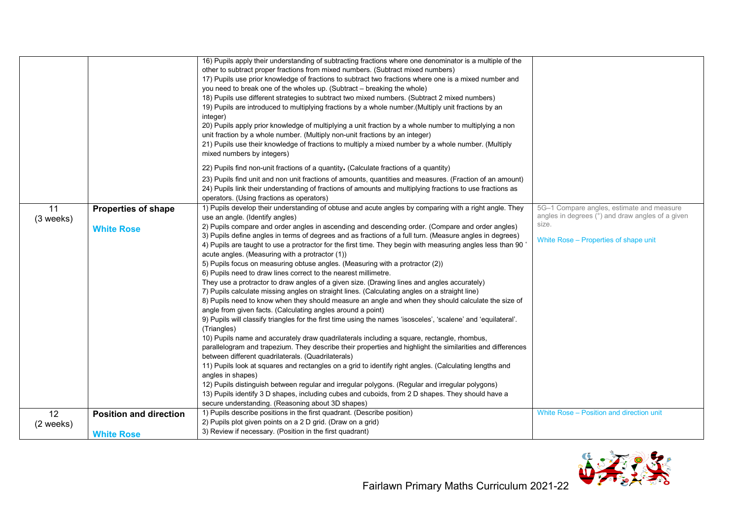|           |                               | 16) Pupils apply their understanding of subtracting fractions where one denominator is a multiple of the                                                                      |                                                  |
|-----------|-------------------------------|-------------------------------------------------------------------------------------------------------------------------------------------------------------------------------|--------------------------------------------------|
|           |                               | other to subtract proper fractions from mixed numbers. (Subtract mixed numbers)                                                                                               |                                                  |
|           |                               | 17) Pupils use prior knowledge of fractions to subtract two fractions where one is a mixed number and                                                                         |                                                  |
|           |                               | you need to break one of the wholes up. (Subtract - breaking the whole)                                                                                                       |                                                  |
|           |                               | 18) Pupils use different strategies to subtract two mixed numbers. (Subtract 2 mixed numbers)                                                                                 |                                                  |
|           |                               | 19) Pupils are introduced to multiplying fractions by a whole number. (Multiply unit fractions by an                                                                          |                                                  |
|           |                               | integer)                                                                                                                                                                      |                                                  |
|           |                               | 20) Pupils apply prior knowledge of multiplying a unit fraction by a whole number to multiplying a non                                                                        |                                                  |
|           |                               | unit fraction by a whole number. (Multiply non-unit fractions by an integer)                                                                                                  |                                                  |
|           |                               | 21) Pupils use their knowledge of fractions to multiply a mixed number by a whole number. (Multiply                                                                           |                                                  |
|           |                               | mixed numbers by integers)                                                                                                                                                    |                                                  |
|           |                               | 22) Pupils find non-unit fractions of a quantity. (Calculate fractions of a quantity)                                                                                         |                                                  |
|           |                               | 23) Pupils find unit and non unit fractions of amounts, quantities and measures. (Fraction of an amount)                                                                      |                                                  |
|           |                               | 24) Pupils link their understanding of fractions of amounts and multiplying fractions to use fractions as                                                                     |                                                  |
|           |                               | operators. (Using fractions as operators)                                                                                                                                     |                                                  |
| 11        | <b>Properties of shape</b>    | 1) Pupils develop their understanding of obtuse and acute angles by comparing with a right angle. They                                                                        | 5G-1 Compare angles, estimate and measure        |
| (3 weeks) |                               | use an angle. (Identify angles)                                                                                                                                               | angles in degrees (°) and draw angles of a given |
|           | <b>White Rose</b>             | 2) Pupils compare and order angles in ascending and descending order. (Compare and order angles)                                                                              | size.                                            |
|           |                               | 3) Pupils define angles in terms of degrees and as fractions of a full turn. (Measure angles in degrees)                                                                      | White Rose - Properties of shape unit            |
|           |                               | 4) Pupils are taught to use a protractor for the first time. They begin with measuring angles less than 90                                                                    |                                                  |
|           |                               | acute angles. (Measuring with a protractor (1))                                                                                                                               |                                                  |
|           |                               | 5) Pupils focus on measuring obtuse angles. (Measuring with a protractor (2))                                                                                                 |                                                  |
|           |                               | 6) Pupils need to draw lines correct to the nearest millimetre.                                                                                                               |                                                  |
|           |                               | They use a protractor to draw angles of a given size. (Drawing lines and angles accurately)                                                                                   |                                                  |
|           |                               | 7) Pupils calculate missing angles on straight lines. (Calculating angles on a straight line)                                                                                 |                                                  |
|           |                               | 8) Pupils need to know when they should measure an angle and when they should calculate the size of                                                                           |                                                  |
|           |                               | angle from given facts. (Calculating angles around a point)<br>9) Pupils will classify triangles for the first time using the names 'isosceles', 'scalene' and 'equilateral'. |                                                  |
|           |                               | (Triangles)                                                                                                                                                                   |                                                  |
|           |                               | 10) Pupils name and accurately draw quadrilaterals including a square, rectangle, rhombus,                                                                                    |                                                  |
|           |                               | parallelogram and trapezium. They describe their properties and highlight the similarities and differences                                                                    |                                                  |
|           |                               | between different quadrilaterals. (Quadrilaterals)                                                                                                                            |                                                  |
|           |                               | 11) Pupils look at squares and rectangles on a grid to identify right angles. (Calculating lengths and                                                                        |                                                  |
|           |                               | angles in shapes)                                                                                                                                                             |                                                  |
|           |                               | 12) Pupils distinguish between regular and irregular polygons. (Regular and irregular polygons)                                                                               |                                                  |
|           |                               | 13) Pupils identify 3 D shapes, including cubes and cuboids, from 2 D shapes. They should have a                                                                              |                                                  |
|           |                               | secure understanding. (Reasoning about 3D shapes)                                                                                                                             |                                                  |
| 12        | <b>Position and direction</b> | 1) Pupils describe positions in the first quadrant. (Describe position)                                                                                                       | White Rose - Position and direction unit         |
| (2 weeks) |                               | 2) Pupils plot given points on a 2 D grid. (Draw on a grid)                                                                                                                   |                                                  |
|           | <b>White Rose</b>             | 3) Review if necessary. (Position in the first quadrant)                                                                                                                      |                                                  |